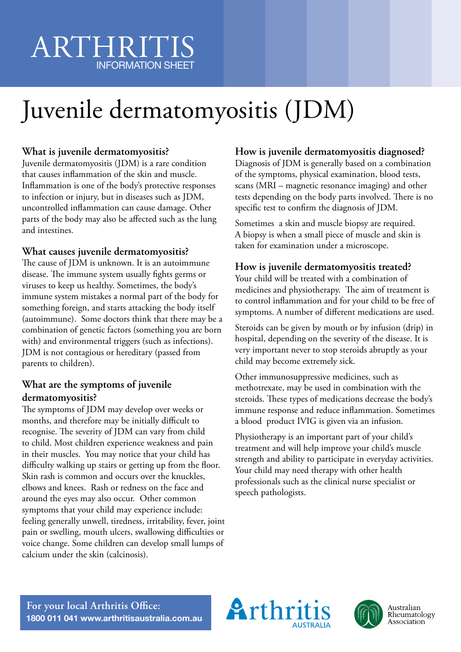# ARTHRITIS INFORMATION SHEET

# Juvenile dermatomyositis (JDM)

### **What is juvenile dermatomyositis?**

Juvenile dermatomyositis (JDM) is a rare condition that causes inflammation of the skin and muscle. Inflammation is one of the body's protective responses to infection or injury, but in diseases such as JDM, uncontrolled inflammation can cause damage. Other parts of the body may also be affected such as the lung and intestines.

#### **What causes juvenile dermatomyositis?**

The cause of JDM is unknown. It is an autoimmune disease. The immune system usually fights germs or viruses to keep us healthy. Sometimes, the body's immune system mistakes a normal part of the body for something foreign, and starts attacking the body itself (autoimmune). Some doctors think that there may be a combination of genetic factors (something you are born with) and environmental triggers (such as infections). JDM is not contagious or hereditary (passed from parents to children).

#### **What are the symptoms of juvenile dermatomyositis?**

The symptoms of JDM may develop over weeks or months, and therefore may be initially difficult to recognise. The severity of JDM can vary from child to child. Most children experience weakness and pain in their muscles. You may notice that your child has difficulty walking up stairs or getting up from the floor. Skin rash is common and occurs over the knuckles, elbows and knees. Rash or redness on the face and around the eyes may also occur. Other common symptoms that your child may experience include: feeling generally unwell, tiredness, irritability, fever, joint pain or swelling, mouth ulcers, swallowing difficulties or voice change. Some children can develop small lumps of calcium under the skin (calcinosis).

#### **How is juvenile dermatomyositis diagnosed?**

Diagnosis of JDM is generally based on a combination of the symptoms, physical examination, blood tests, scans (MRI – magnetic resonance imaging) and other tests depending on the body parts involved. There is no specific test to confirm the diagnosis of JDM.

Sometimes a skin and muscle biopsy are required. A biopsy is when a small piece of muscle and skin is taken for examination under a microscope.

## **How is juvenile dermatomyositis treated?**

Your child will be treated with a combination of medicines and physiotherapy. The aim of treatment is to control inflammation and for your child to be free of symptoms. A number of different medications are used.

Steroids can be given by mouth or by infusion (drip) in hospital, depending on the severity of the disease. It is very important never to stop steroids abruptly as your child may become extremely sick.

Other immunosuppressive medicines, such as methotrexate, may be used in combination with the steroids. These types of medications decrease the body's immune response and reduce inflammation. Sometimes a blood product IVIG is given via an infusion.

Physiotherapy is an important part of your child's treatment and will help improve your child's muscle strength and ability to participate in everyday activities. Your child may need therapy with other health professionals such as the clinical nurse specialist or speech pathologists.